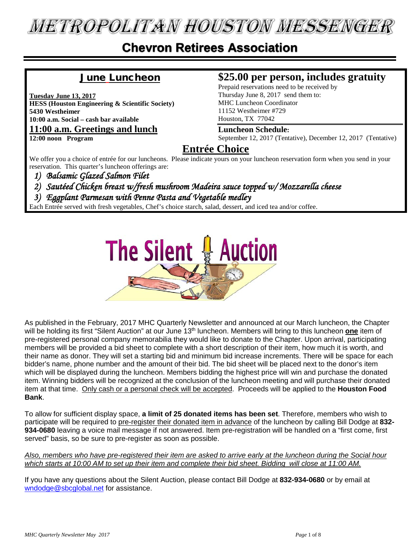# **METROPOLITAN HOUSTON MESSENGER**

#### **Chevron Retirees Association**

#### June Luncheon

**Tuesday June 13, 2017**

**HESS (Houston Engineering & Scientific Society) 5430 Westheimer 10:00 a.m. Social – cash bar available**

**11:00 a.m. Greetings and lunch**

**12:00 noon Program**

#### **\$25.00 per person, includes gratuity**

Prepaid reservations need to be received by Thursday June 8, 2017 send them to: MHC Luncheon Coordinator 11152 Westheimer #729 Houston, TX 77042

#### **Luncheon Schedule:**

September 12, 2017 (Tentative), December 12, 2017 (Tentative)

#### **Entrée Choice**

We offer you a choice of entrée for our luncheons. Please indicate yours on your luncheon reservation form when you send in your reservation. This quarter's luncheon offerings are:

*1) Balsamic Glazed Salmon Filet* 

- *2) Sautéed Chicken breast w/fresh mushroom Madeira sauce topped w/ Mozzarella cheese*
- *3) Eggplant Parmesan with Penne Pasta and Vegetable medley*

Each Entrée served with fresh vegetables, Chef's choice starch, salad, dessert, and iced tea and/or coffee.



As published in the February, 2017 MHC Quarterly Newsletter and announced at our March luncheon, the Chapter will be holding its first "Silent Auction" at our June 13th luncheon. Members will bring to this luncheon **one** item of pre-registered personal company memorabilia they would like to donate to the Chapter. Upon arrival, participating members will be provided a bid sheet to complete with a short description of their item, how much it is worth, and their name as donor. They will set a starting bid and minimum bid increase increments. There will be space for each bidder's name, phone number and the amount of their bid. The bid sheet will be placed next to the donor's item which will be displayed during the luncheon. Members bidding the highest price will win and purchase the donated item. Winning bidders will be recognized at the conclusion of the luncheon meeting and will purchase their donated item at that time. Only cash or a personal check will be accepted. Proceeds will be applied to the **Houston Food Bank**.

To allow for sufficient display space, **a limit of 25 donated items has been set**. Therefore, members who wish to participate will be required to pre-register their donated item in advance of the luncheon by calling Bill Dodge at **832- 934-0680** leaving a voice mail message if not answered. Item pre-registration will be handled on a "first come, first served" basis, so be sure to pre-register as soon as possible.

*Also, members who have pre-registered their item are asked to arrive early at the luncheon during the Social hour which starts at 10:00 AM to set up their item and complete their bid sheet. Bidding will close at 11:00 AM.* 

If you have any questions about the Silent Auction, please contact Bill Dodge at **832-934-0680** or by email at [wndodge@sbcglobal.net](mailto:wndodge@sbcglobal.net) for assistance.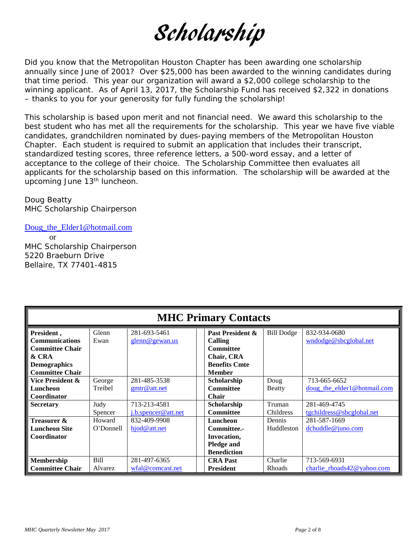# Scholarship

Did you know that the Metropolitan Houston Chapter has been awarding one scholarship annually since June of 2001? Over \$25,000 has been awarded to the winning candidates during that time period. This year our organization will award a \$2,000 college scholarship to the winning applicant. As of April 13, 2017, the Scholarship Fund has received \$2,322 in donations – thanks to you for your generosity for fully funding the scholarship!

This scholarship is based upon merit and not financial need. We award this scholarship to the best student who has met all the requirements for the scholarship. This year we have five viable candidates, grandchildren nominated by dues-paying members of the Metropolitan Houston Chapter. Each student is required to submit an application that includes their transcript, standardized testing scores, three reference letters, a 500-word essay, and a letter of acceptance to the college of their choice. The Scholarship Committee then evaluates all applicants for the scholarship based on this information. The scholarship will be awarded at the upcoming June 13<sup>th</sup> luncheon.

Doug Beatty MHC Scholarship Chairperson

[Doug\\_the\\_Elder1@hotmail.com](mailto:Doug_the_Elder1@hotmail.com) or MHC Scholarship Chairperson 5220 Braeburn Drive Bellaire, TX 77401-4815

| <b>MHC Primary Contacts</b>                                                                                             |                           |                                              |                                                                                                        |                                 |                                                             |  |  |
|-------------------------------------------------------------------------------------------------------------------------|---------------------------|----------------------------------------------|--------------------------------------------------------------------------------------------------------|---------------------------------|-------------------------------------------------------------|--|--|
| President,<br><b>Communications</b><br><b>Committee Chair</b><br>& CRA<br><b>Demographics</b><br><b>Committee Chair</b> | Glenn<br>Ewan             | 281-693-5461<br>glenn@gewan.us               | Past President &<br>Calling<br><b>Committee</b><br>Chair, CRA<br><b>Benefits Cmte</b><br><b>Member</b> | <b>Bill Dodge</b>               | 832-934-0680<br>wndodge@sbcglobal.net                       |  |  |
| Vice President &<br>Luncheon<br>Coordinator<br><b>Secretary</b>                                                         | George<br>Treibel<br>Judy | 281-485-3538<br>gmtr@att.net<br>713-213-4581 | Scholarship<br><b>Committee</b><br><b>Chair</b><br>Scholarship                                         | Doug<br><b>Beatty</b><br>Truman | 713-665-6652<br>doug_the_elder1@hotmail.com<br>281-469-4745 |  |  |
|                                                                                                                         | Spencer                   | $i.b.$ spencer@att.net                       | <b>Committee</b>                                                                                       | Childress                       | tgchildress@sbcglobal.net                                   |  |  |
| Treasurer &<br><b>Luncheon Site</b><br>Coordinator                                                                      | Howard<br>O'Donnell       | 832-409-9908<br>hjod@att.net                 | Luncheon<br>Committee.-<br>Invocation,<br><b>Pledge and</b><br><b>Benediction</b>                      | Dennis<br>Huddleston            | 281-587-1669<br>$d$ chuddle@juno.com                        |  |  |
| <b>Membership</b><br><b>Committee Chair</b>                                                                             | Bill<br>Alvarez           | 281-497-6365<br>wfa1@comcast.net             | <b>CRA Past</b><br><b>President</b>                                                                    | Charlie<br>Rhoads               | 713-569-6931<br>charlie $r$ hoads $42@$ vahoo.com           |  |  |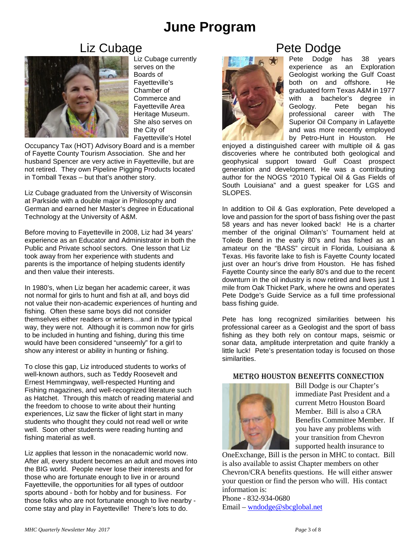### **June Program**

#### Liz Cubage



Liz Cubage currently serves on the Boards of Fayetteville's Chamber of Commerce and Fayetteville Area Heritage Museum. She also serves on the City of Fayetteville's Hotel

Occupancy Tax (HOT) Advisory Board and is a member of Fayette County Tourism Association. She and her husband Spencer are very active in Fayetteville, but are not retired. They own Pipeline Pigging Products located in Tomball Texas – but that's another story.

Liz Cubage graduated from the University of Wisconsin at Parkside with a double major in Philosophy and German and earned her Master's degree in Educational Technology at the University of A&M.

Before moving to Fayetteville in 2008, Liz had 34 years' experience as an Educator and Administrator in both the Public and Private school sectors. One lesson that Liz took away from her experience with students and parents is the importance of helping students identify and then value their interests.

In 1980's, when Liz began her academic career, it was not normal for girls to hunt and fish at all, and boys did not value their non-academic experiences of hunting and fishing. Often these same boys did not consider themselves either readers or writers…and in the typical way, they were not. Although it is common now for girls to be included in hunting and fishing, during this time would have been considered "unseemly" for a girl to show any interest or ability in hunting or fishing.

To close this gap, Liz introduced students to works of well-known authors, such as Teddy Roosevelt and Ernest Hemmingway, well-respected Hunting and Fishing magazines, and well-recognized literature such as Hatchet. Through this match of reading material and the freedom to choose to write about their hunting experiences, Liz saw the flicker of light start in many students who thought they could not read well or write well. Soon other students were reading hunting and fishing material as well.

Liz applies that lesson in the nonacademic world now. After all, every student becomes an adult and moves into the BIG world. People never lose their interests and for those who are fortunate enough to live in or around Fayetteville, the opportunities for all types of outdoor sports abound - both for hobby and for business. For those folks who are not fortunate enough to live nearby come stay and play in Fayetteville! There's lots to do.

# **Pete Dodge**



enjoyed a distinguished career with multiple oil & gas discoveries where he contributed both geological and geophysical support toward Gulf Coast prospect generation and development. He was a contributing author for the NOGS "2010 Typical Oil & Gas Fields of South Louisiana" and a guest speaker for LGS and SLOPES.

In addition to Oil & Gas exploration, Pete developed a love and passion for the sport of bass fishing over the past 58 years and has never looked back! He is a charter member of the original Oilman's' Tournament held at Toledo Bend in the early 80's and has fished as an amateur on the "BASS" circuit in Florida, Louisiana & Texas. His favorite lake to fish is Fayette County located just over an hour's drive from Houston. He has fished Fayette County since the early 80's and due to the recent downturn in the oil industry is now retired and lives just 1 mile from Oak Thicket Park, where he owns and operates Pete Dodge's Guide Service as a full time professional bass fishing guide.

Pete has long recognized similarities between his professional career as a Geologist and the sport of bass fishing as they both rely on contour maps, seismic or sonar data, amplitude interpretation and quite frankly a little luck! Pete's presentation today is focused on those similarities.

#### Metro Houston Benefits Connection



Bill Dodge is our Chapter's immediate Past President and a current Metro Houston Board Member. Bill is also a CRA Benefits Committee Member. If you have any problems with your transition from Chevron supported health insurance to

OneExchange, Bill is the person in MHC to contact. Bill is also available to assist Chapter members on other Chevron/CRA benefits questions. He will either answer your question or find the person who will. His contact information is:

Phone - 832-934-0680 Email – [wndodge@sbcglobal.net](mailto:wndodge@sbcglobal.net)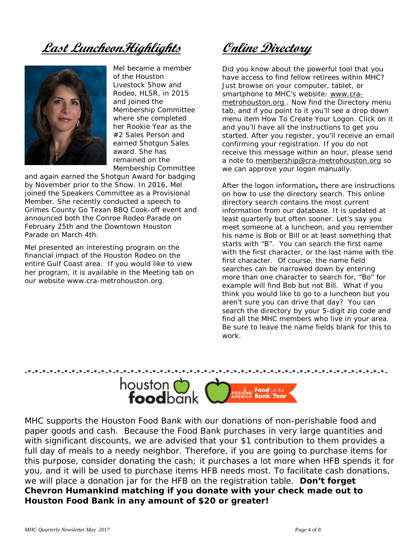**Last LuncheonHighlights**



Mel became a member of the Houston Livestock Show and Rodeo, HLSR, in 2015 and joined the Membership Committee where she completed her Rookie Year as the #2 Sales Person and earned Shotgun Sales award. She has remained on the Membership Committee

and again earned the Shotgun Award for badging by November prior to the Show. In 2016, Mel joined the Speakers Committee as a Provisional Member. She recently conducted a speech to Grimes County Go Texan BBQ Cook-off event and announced both the Conroe Rodeo Parade on February 25th and the Downtown Houston Parade on March 4th.

Mel presented an interesting program on the financial impact of the Houston Rodeo on the entire Gulf Coast area. If you would like to view her program, it is available in the Meeting tab on our website www.cra-metrohouston.org.

**Online Directory**

Did you know about the powerful tool that you have access to find fellow retirees within MHC? Just browse on your computer, tablet, or smartphone to MHC's website: [www.cra](http://www.cra-metrohouston.org/)[metrohouston.org](http://www.cra-metrohouston.org/) . Now find the Directory menu tab, and if you point to it you'll see a drop down menu item How To Create Your Logon. Click on it and you'll have all the instructions to get you started. After you register, you'll receive an email confirming your registration. If you do not receive this message within an hour, please send a note to [membership@cra-metrohouston.org](mailto:membership@cra-metrohouston.org) so we can approve your logon manually.

After the logon information**,** there are instructions on how to use the directory search. This online directory search contains the most current information from our database. It is updated at least quarterly but often sooner. Let's say you meet someone at a luncheon, and you remember his name is Bob or Bill or at least something that starts with "B". You can search the first name with the first character, or the last name with the first character. Of course, the name field searches can be narrowed down by entering more than one character to search for, "Bo" for example will find Bob but not Bill. What if you think you would like to go to a luncheon but you aren't sure you can drive that day? You can search the directory by your 5-digit zip code and find all the MHC members who live in your area. Be sure to leave the name fields blank for this to work.



MHC supports the Houston Food Bank with our donations of non-perishable food and paper goods and cash. Because the Food Bank purchases in very large quantities and with significant discounts, we are advised that your \$1 contribution to them provides a full day of meals to a needy neighbor. Therefore, if you are going to purchase items for this purpose, consider donating the cash; it purchases a lot more when HFB spends it for you, and it will be used to purchase items HFB needs most. To facilitate cash donations, we will place a donation jar for the HFB on the registration table. **Don't forget Chevron Humankind matching if you donate with your check made out to Houston Food Bank in any amount of \$20 or greater!**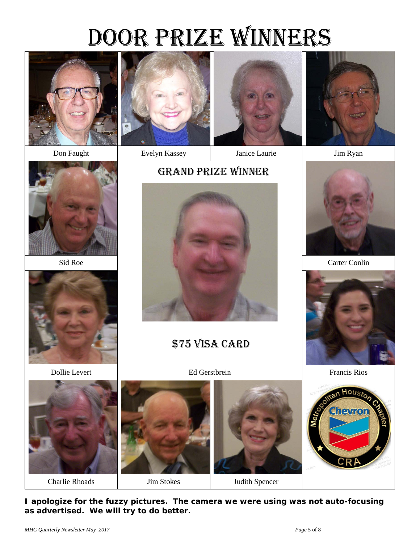# DOOR PRIZE WINNERS



Don Faught Evelyn Kassey Janice Laurie Jim Ryan











\$75 VISA CARD





Dollie Levert Ed Gerstbrein Francis Rios



**I apologize for the fuzzy pictures. The camera we were using was not auto-focusing as advertised. We will try to do better.**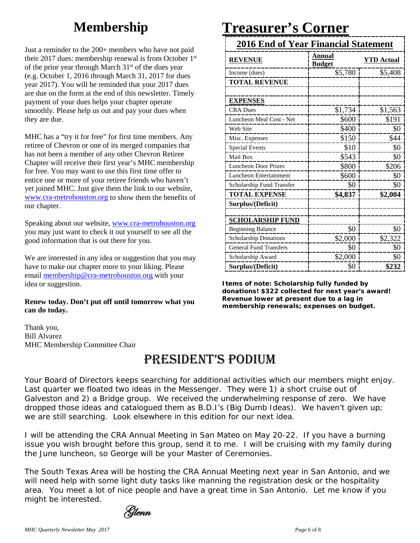# **Membership**

Just a reminder to the 200+ members who have not paid their 2017 dues: membership renewal is from October 1st of the prior year through March 31<sup>st</sup> of the dues year (e.g. October 1, 2016 through March 31, 2017 for dues year 2017). You will be reminded that your 2017 dues are due on the form at the end of this newsletter. Timely payment of your dues helps your chapter operate smoothly. Please help us out and pay your dues when they are due.

MHC has a "try it for free" for first time members. Any retiree of Chevron or one of its merged companies that has not been a member of any other Chevron Retiree Chapter will receive their first year's MHC membership for free. You may want to use this first time offer to entice one or more of your retiree friends who haven't yet joined MHC. Just give them the link to our website, [www.cra-metrohouston.org](http://www.cra-metrohouston.org/) to show them the benefits of our chapter.

Speaking about our website, [www.cra-metrohouston.org](http://www.cra-metrohouston.org/) you may just want to check it out yourself to see all the good information that is out there for you.

We are interested in any idea or suggestion that you may have to make our chapter more to your liking. Please email [membership@cra-metrohouston.org](mailto:membership@cra-metrohouston.org) with your idea or suggestion.

#### **Renew today. Don't put off until tomorrow what you can do today.**

Thank you, Bill Alvarez MHC Membership Committee Chair

### President's Podium

Your Board of Directors keeps searching for additional activities which our members might enjoy. Last quarter we floated two ideas in the *Messenger.* They were 1) a short cruise out of Galveston and 2) a Bridge group. We received the underwhelming response of zero. We have dropped those ideas and catalogued them as B.D.I's (Big Dumb Ideas). We haven't given up; we are still searching. Look elsewhere in this edition for our next idea.

I will be attending the CRA Annual Meeting in San Mateo on May 20-22. If you have a burning issue you wish brought before this group, send it to me. I will be cruising with my family during the June luncheon, so George will be your Master of Ceremonies.

The South Texas Area will be hosting the CRA Annual Meeting next year in San Antonio, and we will need help with some light duty tasks like manning the registration desk or the hospitality area. You meet a lot of nice people and have a great time in San Antonio. Let me know if you might be interested.

## Glenn

# **Treasurer's Corner**

| <b>2016 End of Year Financial Statement</b> |                         |                   |  |  |
|---------------------------------------------|-------------------------|-------------------|--|--|
| <b>REVENUE</b>                              | Annual<br><b>Budget</b> | <b>YTD</b> Actual |  |  |
| Income (dues)                               | \$5,780                 | \$5,408           |  |  |
| <b>TOTAL REVENUE</b>                        |                         |                   |  |  |
|                                             |                         |                   |  |  |
| <b>EXPENSES</b>                             |                         |                   |  |  |
| <b>CRA Dues</b>                             | \$1,734                 | \$1,563           |  |  |
| Luncheon Meal Cost - Net                    | \$600                   | \$191             |  |  |
| Web Site                                    | \$400                   | \$0               |  |  |
| Misc. Expenses                              | \$150                   | \$44              |  |  |
| <b>Special Events</b>                       | \$10                    | \$0               |  |  |
| Mail Box                                    | \$543                   | \$0               |  |  |
| <b>Luncheon Door Prizes</b>                 | \$800                   | \$206             |  |  |
| Luncheon Entertainment                      | \$600                   | \$0               |  |  |
| Scholarship Fund Transfer                   | \$0                     | \$0               |  |  |
| <b>TOTAL EXPENSE</b>                        | \$4,837                 | \$2,004           |  |  |
| Surplus/(Deficit)                           |                         |                   |  |  |
|                                             |                         |                   |  |  |
| <b>SCHOLARSHIP FUND</b>                     |                         |                   |  |  |
| <b>Beginning Balance</b>                    | \$0                     | \$0               |  |  |
| <b>Scholarship Donations</b>                | \$2,000                 | \$2,322           |  |  |
| <b>General Fund Transfers</b>               | \$0                     | \$0               |  |  |
| Scholarship Award                           | \$2,000                 | \$0               |  |  |
| Surplus/(Deficit)                           | \$0                     | \$232             |  |  |

**Items of note: Scholarship fully funded by donations! \$322 collected for next year's award! Revenue lower at present due to a lag in membership renewals; expenses on budget.**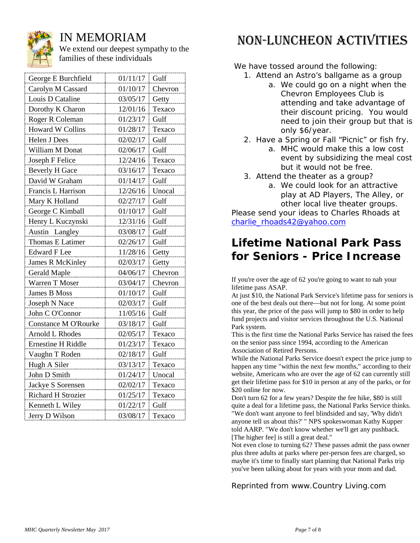

#### IN MEMORIAM

We extend our deepest sympathy to the families of these individuals

| George E Burchfield         | 01/11/17 | Gulf    |
|-----------------------------|----------|---------|
| Carolyn M Cassard           | 01/10/17 | Chevron |
| Louis D Cataline            | 03/05/17 | Getty   |
| Dorothy K Charon            | 12/01/16 | Texaco  |
| Roger R Coleman             | 01/23/17 | Gulf    |
| Howard W Collins            | 01/28/17 | Texaco  |
| Helen J Dees                | 02/02/17 | Gulf    |
| William M Donat             | 02/06/17 | Gulf    |
| Joseph F Felice             | 12/24/16 | Texaco  |
| <b>Beverly H Gace</b>       | 03/16/17 | Texaco  |
| David W Graham              | 01/14/17 | Gulf    |
| Francis L Harrison          | 12/26/16 | Unocal  |
| Mary K Holland              | 02/27/17 | Gulf    |
| George C Kimball            | 01/10/17 | Gulf    |
| Henry L Kuczynski           | 12/31/16 | Gulf    |
| Austin<br>Langley           | 03/08/17 | Gulf    |
| Thomas E Latimer            | 02/26/17 | Gulf    |
| <b>Edward F Lee</b>         | 11/28/16 | Getty   |
| <b>James R McKinley</b>     | 02/03/17 | Getty   |
| <b>Gerald Maple</b>         | 04/06/17 | Chevron |
| Warren T Moser              | 03/04/17 | Chevron |
| James B Moss                | 01/10/17 | Gulf    |
| Joseph N Nace               | 02/03/17 | Gulf    |
| John C O'Connor             | 11/05/16 | Gulf    |
| <b>Constance M O'Rourke</b> | 03/18/17 | Gulf    |
| <b>Arnold L Rhodes</b>      | 02/05/17 | Texaco  |
| <b>Ernestine H Riddle</b>   | 01/23/17 | Texaco  |
| Vaughn T Roden              | 02/18/17 | Gulf    |
| Hugh A Siler                | 03/13/17 | Texaco  |
| John D Smith                | 01/24/17 | Unocal  |
| Jackye S Sorensen           | 02/02/17 | Texaco  |
| Richard H Strozier          | 01/25/17 | Texaco  |
| Kenneth L Wiley             | 01/22/17 | Gulf    |
| Jerry D Wilson              | 03/08/17 | Texaco  |

# Non-Luncheon Activities

We have tossed around the following:

- 1. Attend an Astro's ballgame as a group a. We could go on a night when the Chevron Employees Club is attending and take advantage of their discount pricing. You would need to join their group but that is only \$6/year.
- 2. Have a Spring or Fall "Picnic" or fish fry.
	- a. MHC would make this a low cost event by subsidizing the meal cost but it would not be free.
- 3. Attend the theater as a group?
	- a. We could look for an attractive play at AD Players, The Alley, or other local live theater groups.

Please send your ideas to Charles Rhoads at [charlie\\_rhoads42@yahoo.com](mailto:charlie_rhoads42@yahoo.com)

#### **Lifetime National Park Pass for Seniors - Price Increase**

If you're over the age of 62 you're going to want to nab your lifetime pass ASAP.

At just \$10, the National Park Service's lifetime pass for seniors is one of the best deals out there—but not for long. At some point this year, the price of the pass will jump to \$80 in order to help fund projects and visitor services throughout the U.S. National Park system.

This is the first time the National Parks Service has raised the fees on the senior pass since 1994, according to the [American](http://travel.aarp.org/articles-tips/articles/info-2016/national-parks-lifetime-pass-cost-increase.html)  [Association of Retired Persons.](http://travel.aarp.org/articles-tips/articles/info-2016/national-parks-lifetime-pass-cost-increase.html)

While the National Parks Service doesn't expect the price jump to happen any time "within the next few months,[" according to their](https://store.usgs.gov/pass/senior.html)  [website,](https://store.usgs.gov/pass/senior.html) Americans who are over the age of 62 can currently still get their lifetime pass for \$10 in person at any of the parks, or for [\\$20 online](https://store.usgs.gov/b2c_usgs/b2c/start/(xcm=r3standardpitrex_prd&carea=0000000002&citem=00000000020000000004)/.do) for now.

Don't turn 62 for a few years? Despite the fee hike, \$80 is still quite a deal for a lifetime pass, the National Parks Service thinks. "We don't want anyone to feel blindsided and say, 'Why didn't anyone tell us about this?' " NPS spokeswoman Kathy Kupper [told AARP.](http://travel.aarp.org/articles-tips/articles/info-2016/national-parks-lifetime-pass-cost-increase.html) "We don't know whether we'll get any pushback. [The higher fee] is still a great deal."

Not even close to turning 62? These passes admit the pass owner plus three adults at parks where per-person fees are charged, so maybe it's time to finally start planning that National Parks trip you've been talking about for years with your mom and dad.

*Reprinted from www.Country Living.com*